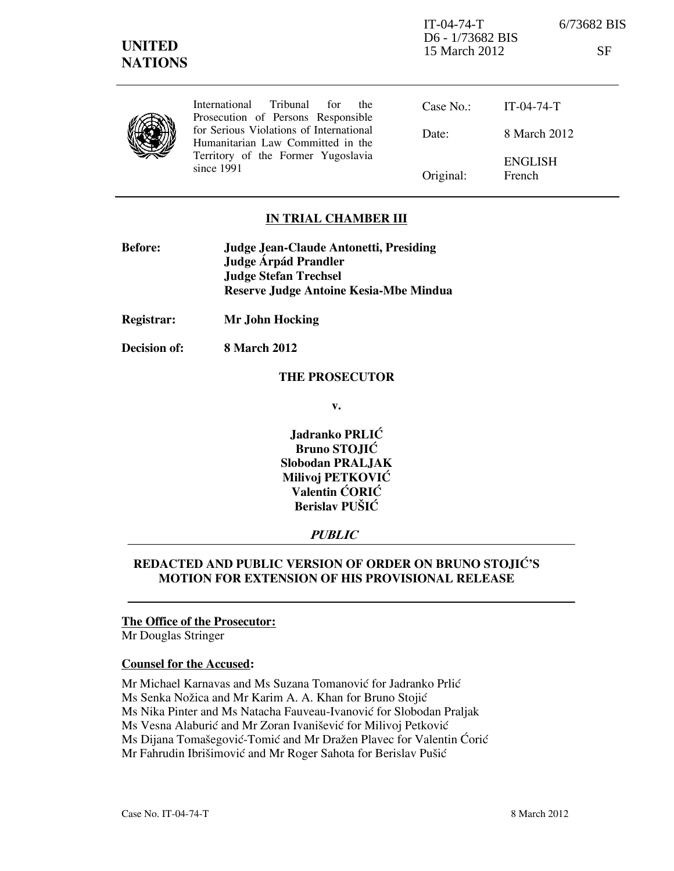Prosecution of Persons Responsible for Serious Violations of International Humanitarian Law Committed in the Territory of the Former Yugoslavia since 1991

Date: Original: IT-04-74-T 8 March 2012 ENGLISH French

## IN TRIAL CHAMBER III

| <b>Before:</b> | Judge Jean-Claude Antonetti, Presiding |
|----------------|----------------------------------------|
|                | Judge Árpád Prandler                   |
|                | <b>Judge Stefan Trechsel</b>           |
|                | Reserve Judge Antoine Kesia-Mbe Mindua |

Registrar: Mr John Hocking

Decision of: 8 March 2012

#### THE PROSECUTOR

v.

Jadranko PRLIĆ Bruno STOJIĆ Slobodan PRALJAK Milivoj PETKOVIĆ Valentin ĆORIĆ Berislav PUŠIĆ

# **PUBLIC**

## REDACTED AND PUBLIC VERSION OF ORDER ON BRUNO STOJIĆ'S MOTION FOR EXTENSION OF HIS PROVISIONAL RELEASE

#### The Office of the Prosecutor:

Mr Douglas Stringer

#### Counsel for the Accused:

Mr Michael Karnavas and Ms Suzana Tomanović for Jadranko Prlić

Ms Senka Nožica and Mr Karim A. A. Khan for Bruno Stojić

Ms Nika Pinter and Ms Natacha Fauveau-Ivanović for Slobodan Praljak

Ms Vesna Alaburić and Mr Zoran Ivanišević for Milivoj Petković

Ms Dijana Tomašegović-Tomić and Mr Dražen Plavec for Valentin Ćorić

Mr Fahrudin Ibrišimović and Mr Roger Sahota for Berislav Pušić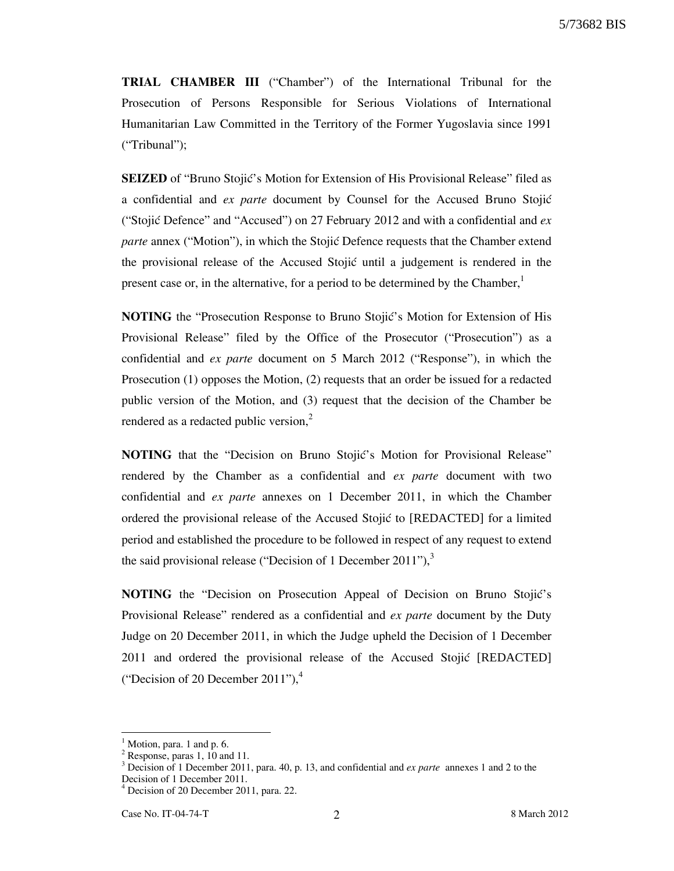TRIAL CHAMBER III ("Chamber") of the International Tribunal for the Prosecution of Persons Responsible for Serious Violations of International Humanitarian Law Committed in the Territory of the Former Yugoslavia since 1991 ("Tribunal");

**SEIZED** of "Bruno Stojic's Motion for Extension of His Provisional Release" filed as a confidential and ex parte document by Counsel for the Accused Bruno Stojić ("Stojić Defence" and "Accused") on 27 February 2012 and with a confidential and  $ex$ parte annex ("Motion"), in which the Stojić Defence requests that the Chamber extend the provisional release of the Accused Stojić until a judgement is rendered in the present case or, in the alternative, for a period to be determined by the Chamber, $<sup>1</sup>$ </sup>

NOTING the "Prosecution Response to Bruno Stojić's Motion for Extension of His Provisional Release" filed by the Office of the Prosecutor ("Prosecution") as a confidential and ex parte document on 5 March 2012 ("Response"), in which the Prosecution (1) opposes the Motion, (2) requests that an order be issued for a redacted public version of the Motion, and (3) request that the decision of the Chamber be rendered as a redacted public version, $<sup>2</sup>$ </sup>

NOTING that the "Decision on Bruno Stojić's Motion for Provisional Release" rendered by the Chamber as a confidential and ex parte document with two confidential and ex parte annexes on 1 December 2011, in which the Chamber ordered the provisional release of the Accused Stojić to [REDACTED] for a limited period and established the procedure to be followed in respect of any request to extend the said provisional release ("Decision of 1 December 2011"), $3$ 

NOTING the "Decision on Prosecution Appeal of Decision on Bruno Stojić's Provisional Release" rendered as a confidential and ex parte document by the Duty Judge on 20 December 2011, in which the Judge upheld the Decision of 1 December 2011 and ordered the provisional release of the Accused Stojić [REDACTED] ("Decision of 20 December 2011"), $4$ 

 $<sup>1</sup>$  Motion, para. 1 and p. 6.</sup>

<sup>&</sup>lt;sup>2</sup> Response, paras 1, 10 and 11.

<sup>&</sup>lt;sup>3</sup> Decision of 1 December 2011, para. 40, p. 13, and confidential and *ex parte* annexes 1 and 2 to the Decision of 1 December 2011.

<sup>4</sup> Decision of 20 December 2011, para. 22.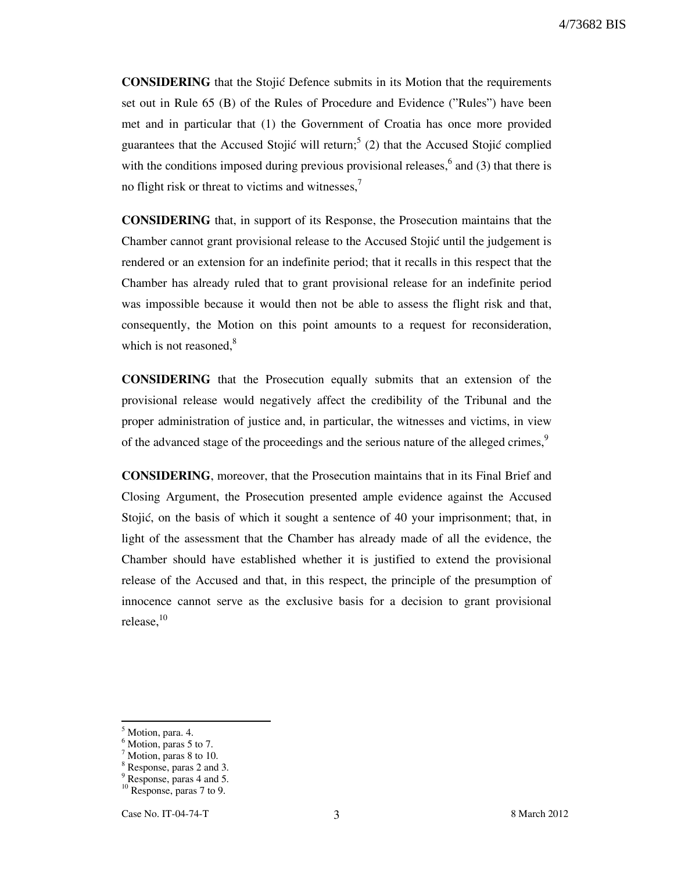**CONSIDERING** that the Stojić Defence submits in its Motion that the requirements set out in Rule 65 (B) of the Rules of Procedure and Evidence ("Rules") have been met and in particular that (1) the Government of Croatia has once more provided guarantees that the Accused Stojić will return;<sup>5</sup> (2) that the Accused Stojić complied with the conditions imposed during previous provisional releases,  $6$  and (3) that there is no flight risk or threat to victims and witnesses,<sup>7</sup>

CONSIDERING that, in support of its Response, the Prosecution maintains that the Chamber cannot grant provisional release to the Accused Stojić until the judgement is rendered or an extension for an indefinite period; that it recalls in this respect that the Chamber has already ruled that to grant provisional release for an indefinite period was impossible because it would then not be able to assess the flight risk and that, consequently, the Motion on this point amounts to a request for reconsideration, which is not reasoned, $8$ 

CONSIDERING that the Prosecution equally submits that an extension of the provisional release would negatively affect the credibility of the Tribunal and the proper administration of justice and, in particular, the witnesses and victims, in view of the advanced stage of the proceedings and the serious nature of the alleged crimes, $9$ 

CONSIDERING, moreover, that the Prosecution maintains that in its Final Brief and Closing Argument, the Prosecution presented ample evidence against the Accused Stojić, on the basis of which it sought a sentence of 40 your imprisonment; that, in light of the assessment that the Chamber has already made of all the evidence, the Chamber should have established whether it is justified to extend the provisional release of the Accused and that, in this respect, the principle of the presumption of innocence cannot serve as the exclusive basis for a decision to grant provisional release, $^{10}$ 

<sup>&</sup>lt;sup>5</sup> Motion, para. 4.

<sup>&</sup>lt;sup>6</sup> Motion, paras 5 to 7.

<sup>&</sup>lt;sup>7</sup> Motion, paras 8 to 10.

<sup>8</sup> Response, paras 2 and 3.

<sup>&</sup>lt;sup>9</sup> Response, paras 4 and 5.

 $10$  Response, paras 7 to 9.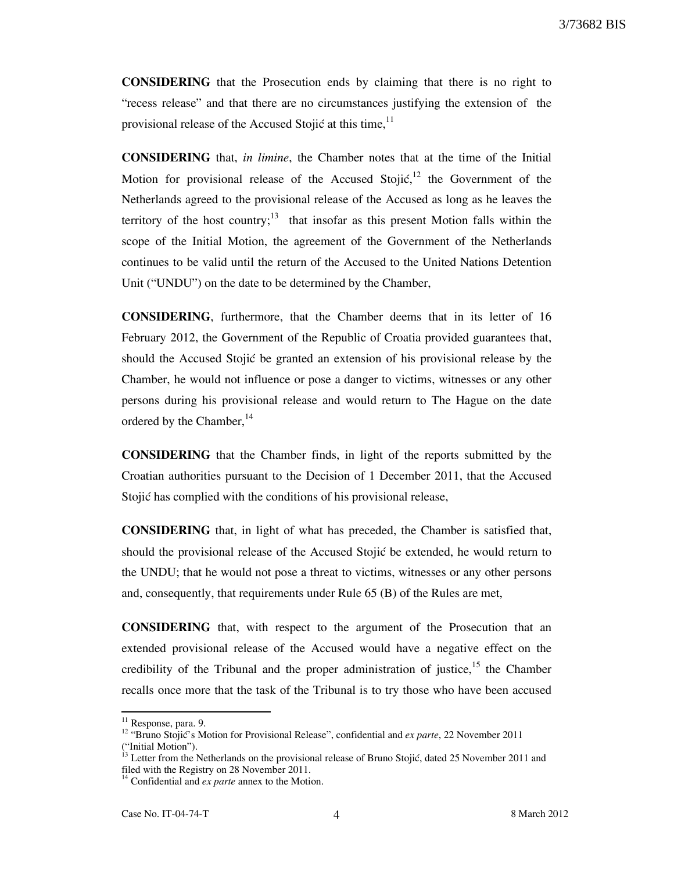CONSIDERING that the Prosecution ends by claiming that there is no right to "recess release" and that there are no circumstances justifying the extension of the provisional release of the Accused Stojić at this time,  $11$ 

CONSIDERING that, in limine, the Chamber notes that at the time of the Initial Motion for provisional release of the Accused Stojić,<sup>12</sup> the Government of the Netherlands agreed to the provisional release of the Accused as long as he leaves the territory of the host country;<sup>13</sup> that insofar as this present Motion falls within the scope of the Initial Motion, the agreement of the Government of the Netherlands continues to be valid until the return of the Accused to the United Nations Detention Unit ("UNDU") on the date to be determined by the Chamber,

CONSIDERING, furthermore, that the Chamber deems that in its letter of 16 February 2012, the Government of the Republic of Croatia provided guarantees that, should the Accused Stojić be granted an extension of his provisional release by the Chamber, he would not influence or pose a danger to victims, witnesses or any other persons during his provisional release and would return to The Hague on the date ordered by the Chamber, $14$ 

CONSIDERING that the Chamber finds, in light of the reports submitted by the Croatian authorities pursuant to the Decision of 1 December 2011, that the Accused Stojić has complied with the conditions of his provisional release,

CONSIDERING that, in light of what has preceded, the Chamber is satisfied that, should the provisional release of the Accused Stojić be extended, he would return to the UNDU; that he would not pose a threat to victims, witnesses or any other persons and, consequently, that requirements under Rule 65 (B) of the Rules are met,

CONSIDERING that, with respect to the argument of the Prosecution that an extended provisional release of the Accused would have a negative effect on the credibility of the Tribunal and the proper administration of justice,<sup>15</sup> the Chamber recalls once more that the task of the Tribunal is to try those who have been accused

<sup>&</sup>lt;sup>11</sup> Response, para. 9.

<sup>&</sup>lt;sup>12</sup> "Bruno Stojić's Motion for Provisional Release", confidential and *ex parte*, 22 November 2011 ("Initial Motion").

Letter from the Netherlands on the provisional release of Bruno Stojić, dated 25 November 2011 and filed with the Registry on 28 November 2011.

 $14$  Confidential and *ex parte* annex to the Motion.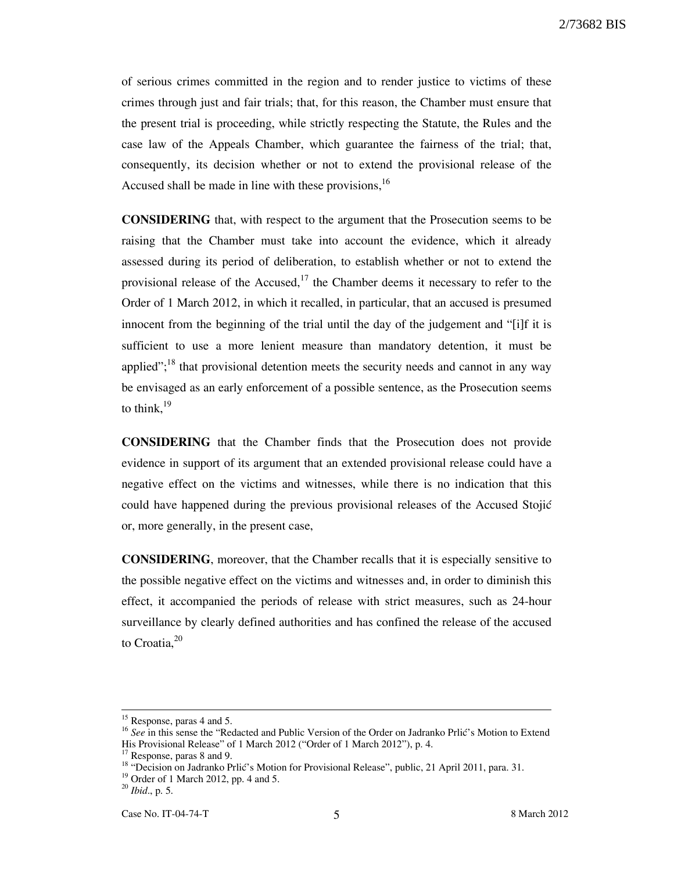of serious crimes committed in the region and to render justice to victims of these crimes through just and fair trials; that, for this reason, the Chamber must ensure that the present trial is proceeding, while strictly respecting the Statute, the Rules and the case law of the Appeals Chamber, which guarantee the fairness of the trial; that, consequently, its decision whether or not to extend the provisional release of the Accused shall be made in line with these provisions,<sup>16</sup>

CONSIDERING that, with respect to the argument that the Prosecution seems to be raising that the Chamber must take into account the evidence, which it already assessed during its period of deliberation, to establish whether or not to extend the provisional release of the Accused,<sup>17</sup> the Chamber deems it necessary to refer to the Order of 1 March 2012, in which it recalled, in particular, that an accused is presumed innocent from the beginning of the trial until the day of the judgement and "[i]f it is sufficient to use a more lenient measure than mandatory detention, it must be applied";<sup>18</sup> that provisional detention meets the security needs and cannot in any way be envisaged as an early enforcement of a possible sentence, as the Prosecution seems to think, $19$ 

CONSIDERING that the Chamber finds that the Prosecution does not provide evidence in support of its argument that an extended provisional release could have a negative effect on the victims and witnesses, while there is no indication that this could have happened during the previous provisional releases of the Accused Stojić or, more generally, in the present case,

CONSIDERING, moreover, that the Chamber recalls that it is especially sensitive to the possible negative effect on the victims and witnesses and, in order to diminish this effect, it accompanied the periods of release with strict measures, such as 24-hour surveillance by clearly defined authorities and has confined the release of the accused to Croatia, $20$ 

<sup>&</sup>lt;sup>15</sup> Response, paras 4 and 5.

 $^{16}$  See in this sense the "Redacted and Public Version of the Order on Jadranko Prlić's Motion to Extend His Provisional Release" of 1 March 2012 ("Order of 1 March 2012"), p. 4.

<sup>&</sup>lt;sup>17</sup> Response, paras 8 and 9.

<sup>&</sup>lt;sup>18</sup> "Decision on Jadranko Prlić's Motion for Provisional Release", public, 21 April 2011, para. 31.

 $19$  Order of 1 March 2012, pp. 4 and 5.

 $^{20}$  *Ibid.*, p. 5.